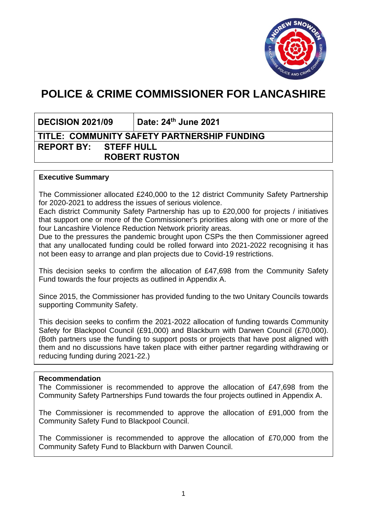

# **POLICE & CRIME COMMISSIONER FOR LANCASHIRE**

**DECISION 2021/09 Date: 24th June 2021**

# **TITLE: COMMUNITY SAFETY PARTNERSHIP FUNDING REPORT BY: STEFF HULL ROBERT RUSTON**

### **Executive Summary**

The Commissioner allocated £240,000 to the 12 district Community Safety Partnership for 2020-2021 to address the issues of serious violence.

Each district Community Safety Partnership has up to £20,000 for projects / initiatives that support one or more of the Commissioner's priorities along with one or more of the four Lancashire Violence Reduction Network priority areas.

Due to the pressures the pandemic brought upon CSPs the then Commissioner agreed that any unallocated funding could be rolled forward into 2021-2022 recognising it has not been easy to arrange and plan projects due to Covid-19 restrictions.

This decision seeks to confirm the allocation of £47,698 from the Community Safety Fund towards the four projects as outlined in Appendix A.

Since 2015, the Commissioner has provided funding to the two Unitary Councils towards supporting Community Safety.

This decision seeks to confirm the 2021-2022 allocation of funding towards Community Safety for Blackpool Council (£91,000) and Blackburn with Darwen Council (£70,000). (Both partners use the funding to support posts or projects that have post aligned with them and no discussions have taken place with either partner regarding withdrawing or reducing funding during 2021-22.)

#### **Recommendation**

The Commissioner is recommended to approve the allocation of £47,698 from the Community Safety Partnerships Fund towards the four projects outlined in Appendix A.

The Commissioner is recommended to approve the allocation of £91,000 from the Community Safety Fund to Blackpool Council.

The Commissioner is recommended to approve the allocation of £70,000 from the Community Safety Fund to Blackburn with Darwen Council.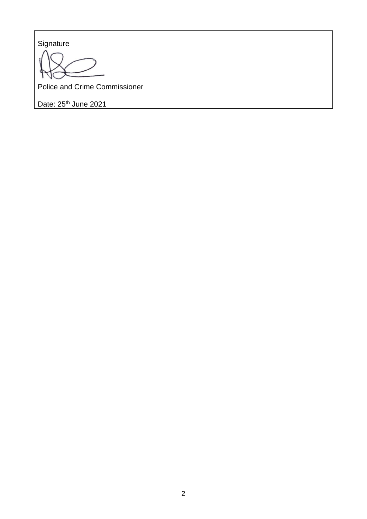**Signature** 

Police and Crime Commissioner

Date: 25<sup>th</sup> June 2021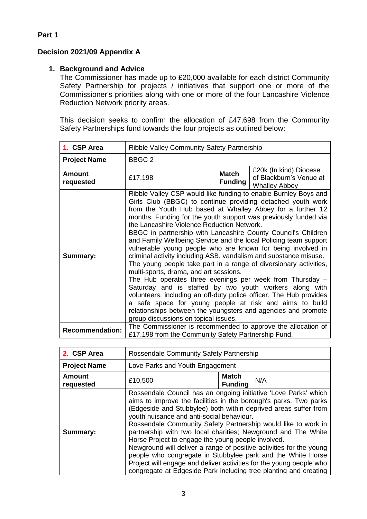# **Decision 2021/09 Appendix A**

## **1. Background and Advice**

The Commissioner has made up to £20,000 available for each district Community Safety Partnership for projects / initiatives that support one or more of the Commissioner's priorities along with one or more of the four Lancashire Violence Reduction Network priority areas.

This decision seeks to confirm the allocation of £47,698 from the Community Safety Partnerships fund towards the four projects as outlined below:

| 1. CSP Area            | Ribble Valley Community Safety Partnership                                                                                                                                                                                                                                                                                                                                                                                                                                                                                                                                                                                                                                                                                                                                                                                                                                                                                                                                                                                                                              |                                |                                                                           |
|------------------------|-------------------------------------------------------------------------------------------------------------------------------------------------------------------------------------------------------------------------------------------------------------------------------------------------------------------------------------------------------------------------------------------------------------------------------------------------------------------------------------------------------------------------------------------------------------------------------------------------------------------------------------------------------------------------------------------------------------------------------------------------------------------------------------------------------------------------------------------------------------------------------------------------------------------------------------------------------------------------------------------------------------------------------------------------------------------------|--------------------------------|---------------------------------------------------------------------------|
| <b>Project Name</b>    | BBGC <sub>2</sub>                                                                                                                                                                                                                                                                                                                                                                                                                                                                                                                                                                                                                                                                                                                                                                                                                                                                                                                                                                                                                                                       |                                |                                                                           |
| Amount<br>requested    | £17,198                                                                                                                                                                                                                                                                                                                                                                                                                                                                                                                                                                                                                                                                                                                                                                                                                                                                                                                                                                                                                                                                 | <b>Match</b><br><b>Funding</b> | £20k (In kind) Diocese<br>of Blackburn's Venue at<br><b>Whalley Abbey</b> |
| Summary:               | Ribble Valley CSP would like funding to enable Burnley Boys and<br>Girls Club (BBGC) to continue providing detached youth work<br>from the Youth Hub based at Whalley Abbey for a further 12<br>months. Funding for the youth support was previously funded via<br>the Lancashire Violence Reduction Network.<br>BBGC in partnership with Lancashire County Council's Children<br>and Family Wellbeing Service and the local Policing team support<br>vulnerable young people who are known for being involved in<br>criminal activity including ASB, vandalism and substance misuse.<br>The young people take part in a range of diversionary activities,<br>multi-sports, drama, and art sessions.<br>The Hub operates three evenings per week from Thursday $-$<br>Saturday and is staffed by two youth workers along with<br>volunteers, including an off-duty police officer. The Hub provides<br>a safe space for young people at risk and aims to build<br>relationships between the youngsters and agencies and promote<br>group discussions on topical issues. |                                |                                                                           |
| <b>Recommendation:</b> | The Commissioner is recommended to approve the allocation of<br>£17,198 from the Community Safety Partnership Fund.                                                                                                                                                                                                                                                                                                                                                                                                                                                                                                                                                                                                                                                                                                                                                                                                                                                                                                                                                     |                                |                                                                           |

| 2. CSP Area         | Rossendale Community Safety Partnership                                                                                                                                                                                                                                                                                                                                                                                                                                                                                                                                                                                                                                                                                      |                         |     |
|---------------------|------------------------------------------------------------------------------------------------------------------------------------------------------------------------------------------------------------------------------------------------------------------------------------------------------------------------------------------------------------------------------------------------------------------------------------------------------------------------------------------------------------------------------------------------------------------------------------------------------------------------------------------------------------------------------------------------------------------------------|-------------------------|-----|
| <b>Project Name</b> | Love Parks and Youth Engagement                                                                                                                                                                                                                                                                                                                                                                                                                                                                                                                                                                                                                                                                                              |                         |     |
| Amount<br>requested | £10,500                                                                                                                                                                                                                                                                                                                                                                                                                                                                                                                                                                                                                                                                                                                      | Match<br><b>Funding</b> | N/A |
| Summary:            | Rossendale Council has an ongoing initiative 'Love Parks' which<br>aims to improve the facilities in the borough's parks. Two parks<br>(Edgeside and Stubbylee) both within deprived areas suffer from<br>youth nuisance and anti-social behaviour.<br>Rossendale Community Safety Partnership would like to work in<br>partnership with two local charities; Newground and The White<br>Horse Project to engage the young people involved.<br>Newground will deliver a range of positive activities for the young<br>people who congregate in Stubbylee park and the White Horse<br>Project will engage and deliver activities for the young people who<br>congregate at Edgeside Park including tree planting and creating |                         |     |

# **Part 1**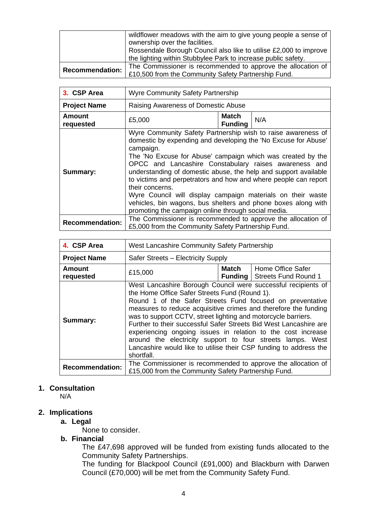|                        | wildflower meadows with the aim to give young people a sense of<br>ownership over the facilities.                                  |
|------------------------|------------------------------------------------------------------------------------------------------------------------------------|
|                        | Rossendale Borough Council also like to utilise £2,000 to improve<br>the lighting within Stubbylee Park to increase public safety. |
|                        | The Commissioner is recommended to approve the allocation of                                                                       |
| <b>Recommendation:</b> | £10,500 from the Community Safety Partnership Fund.                                                                                |

| 3. CSP Area                | <b>Wyre Community Safety Partnership</b>                                                                                                                                                                                                                                                                                                                                                                                                                                                                                                                                                                            |                                |     |
|----------------------------|---------------------------------------------------------------------------------------------------------------------------------------------------------------------------------------------------------------------------------------------------------------------------------------------------------------------------------------------------------------------------------------------------------------------------------------------------------------------------------------------------------------------------------------------------------------------------------------------------------------------|--------------------------------|-----|
| <b>Project Name</b>        | Raising Awareness of Domestic Abuse                                                                                                                                                                                                                                                                                                                                                                                                                                                                                                                                                                                 |                                |     |
| <b>Amount</b><br>requested | £5,000                                                                                                                                                                                                                                                                                                                                                                                                                                                                                                                                                                                                              | <b>Match</b><br><b>Funding</b> | N/A |
| Summary:                   | Wyre Community Safety Partnership wish to raise awareness of<br>domestic by expending and developing the 'No Excuse for Abuse'<br>campaign.<br>The 'No Excuse for Abuse' campaign which was created by the<br>OPCC and Lancashire Constabulary raises awareness and<br>understanding of domestic abuse, the help and support available<br>to victims and perpetrators and how and where people can report<br>their concerns.<br>Wyre Council will display campaign materials on their waste<br>vehicles, bin wagons, bus shelters and phone boxes along with<br>promoting the campaign online through social media. |                                |     |
| <b>Recommendation:</b>     | The Commissioner is recommended to approve the allocation of<br>£5,000 from the Community Safety Partnership Fund.                                                                                                                                                                                                                                                                                                                                                                                                                                                                                                  |                                |     |

| 4. CSP Area            | West Lancashire Community Safety Partnership                                                                                                                                                                                                                                                                                                                                                                                                                                                                                                                                                          |              |                                                          |
|------------------------|-------------------------------------------------------------------------------------------------------------------------------------------------------------------------------------------------------------------------------------------------------------------------------------------------------------------------------------------------------------------------------------------------------------------------------------------------------------------------------------------------------------------------------------------------------------------------------------------------------|--------------|----------------------------------------------------------|
| <b>Project Name</b>    | Safer Streets - Electricity Supply                                                                                                                                                                                                                                                                                                                                                                                                                                                                                                                                                                    |              |                                                          |
| Amount<br>requested    | £15,000                                                                                                                                                                                                                                                                                                                                                                                                                                                                                                                                                                                               | <b>Match</b> | Home Office Safer<br><b>Funding</b> Streets Fund Round 1 |
| <b>Summary:</b>        | West Lancashire Borough Council were successful recipients of<br>the Home Office Safer Streets Fund (Round 1).<br>Round 1 of the Safer Streets Fund focused on preventative<br>measures to reduce acquisitive crimes and therefore the funding<br>was to support CCTV, street lighting and motorcycle barriers.<br>Further to their successful Safer Streets Bid West Lancashire are<br>experiencing ongoing issues in relation to the cost increase<br>around the electricity support to four streets lamps. West<br>Lancashire would like to utilise their CSP funding to address the<br>shortfall. |              |                                                          |
| <b>Recommendation:</b> | The Commissioner is recommended to approve the allocation of<br>£15,000 from the Community Safety Partnership Fund.                                                                                                                                                                                                                                                                                                                                                                                                                                                                                   |              |                                                          |

#### **1. Consultation**

N/A

# **2. Implications**

#### **a. Legal**

None to consider.

## **b. Financial**

The £47,698 approved will be funded from existing funds allocated to the Community Safety Partnerships.

The funding for Blackpool Council (£91,000) and Blackburn with Darwen Council (£70,000) will be met from the Community Safety Fund.